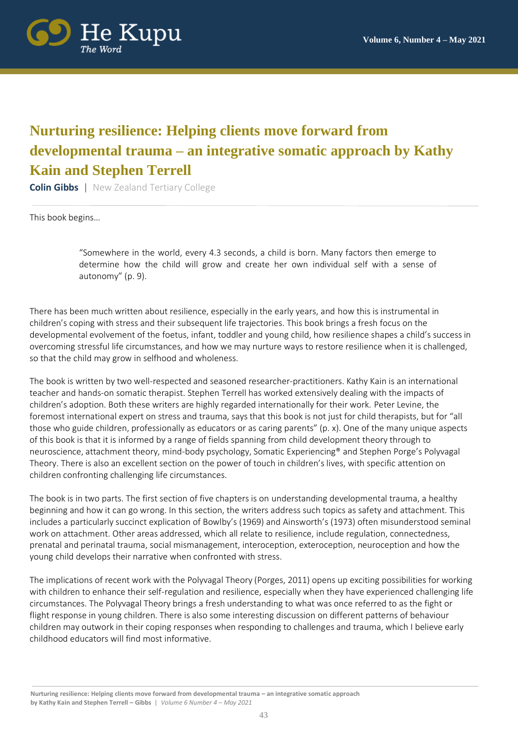

## **Nurturing resilience: Helping clients move forward from developmental trauma – an integrative somatic approach by Kathy Kain and Stephen Terrell**

**Colin Gibbs** | New Zealand Tertiary College

This book begins…

"Somewhere in the world, every 4.3 seconds, a child is born. Many factors then emerge to determine how the child will grow and create her own individual self with a sense of autonomy" (p. 9).

There has been much written about resilience, especially in the early years, and how this is instrumental in children's coping with stress and their subsequent life trajectories. This book brings a fresh focus on the developmental evolvement of the foetus, infant, toddler and young child, how resilience shapes a child's success in overcoming stressful life circumstances, and how we may nurture ways to restore resilience when it is challenged, so that the child may grow in selfhood and wholeness.

The book is written by two well-respected and seasoned researcher-practitioners. Kathy Kain is an international teacher and hands-on somatic therapist. Stephen Terrell has worked extensively dealing with the impacts of children's adoption. Both these writers are highly regarded internationally for their work. Peter Levine, the foremost international expert on stress and trauma, says that this book is not just for child therapists, but for "all those who guide children, professionally as educators or as caring parents" (p. x). One of the many unique aspects of this book is that it is informed by a range of fields spanning from child development theory through to neuroscience, attachment theory, mind-body psychology, Somatic Experiencing® and Stephen Porge's Polyvagal Theory. There is also an excellent section on the power of touch in children's lives, with specific attention on children confronting challenging life circumstances.

The book is in two parts. The first section of five chapters is on understanding developmental trauma, a healthy beginning and how it can go wrong. In this section, the writers address such topics as safety and attachment. This includes a particularly succinct explication of Bowlby's (1969) and Ainsworth's (1973) often misunderstood seminal work on attachment. Other areas addressed, which all relate to resilience, include regulation, connectedness, prenatal and perinatal trauma, social mismanagement, interoception, exteroception, neuroception and how the young child develops their narrative when confronted with stress.

The implications of recent work with the Polyvagal Theory (Porges, 2011) opens up exciting possibilities for working with children to enhance their self-regulation and resilience, especially when they have experienced challenging life circumstances. The Polyvagal Theory brings a fresh understanding to what was once referred to as the fight or flight response in young children. There is also some interesting discussion on different patterns of behaviour children may outwork in their coping responses when responding to challenges and trauma, which I believe early childhood educators will find most informative.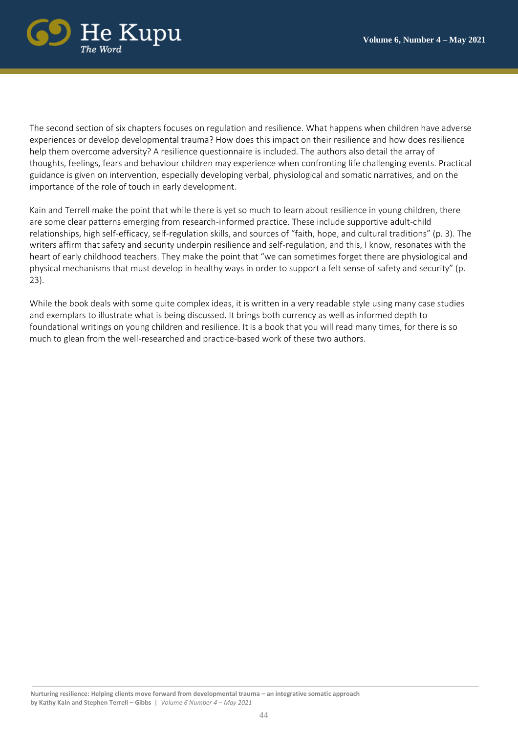

The second section of six chapters focuses on regulation and resilience. What happens when children have adverse experiences or develop developmental trauma? How does this impact on their resilience and how does resilience help them overcome adversity? A resilience questionnaire is included. The authors also detail the array of thoughts, feelings, fears and behaviour children may experience when confronting life challenging events. Practical guidance is given on intervention, especially developing verbal, physiological and somatic narratives, and on the importance of the role of touch in early development.

Kain and Terrell make the point that while there is yet so much to learn about resilience in young children, there are some clear patterns emerging from research-informed practice. These include supportive adult-child relationships, high self-efficacy, self-regulation skills, and sources of "faith, hope, and cultural traditions" (p. 3). The writers affirm that safety and security underpin resilience and self-regulation, and this, I know, resonates with the heart of early childhood teachers. They make the point that "we can sometimes forget there are physiological and physical mechanisms that must develop in healthy ways in order to support a felt sense of safety and security" (p. 23).

While the book deals with some quite complex ideas, it is written in a very readable style using many case studies and exemplars to illustrate what is being discussed. It brings both currency as well as informed depth to foundational writings on young children and resilience. It is a book that you will read many times, for there is so much to glean from the well-researched and practice-based work of these two authors.